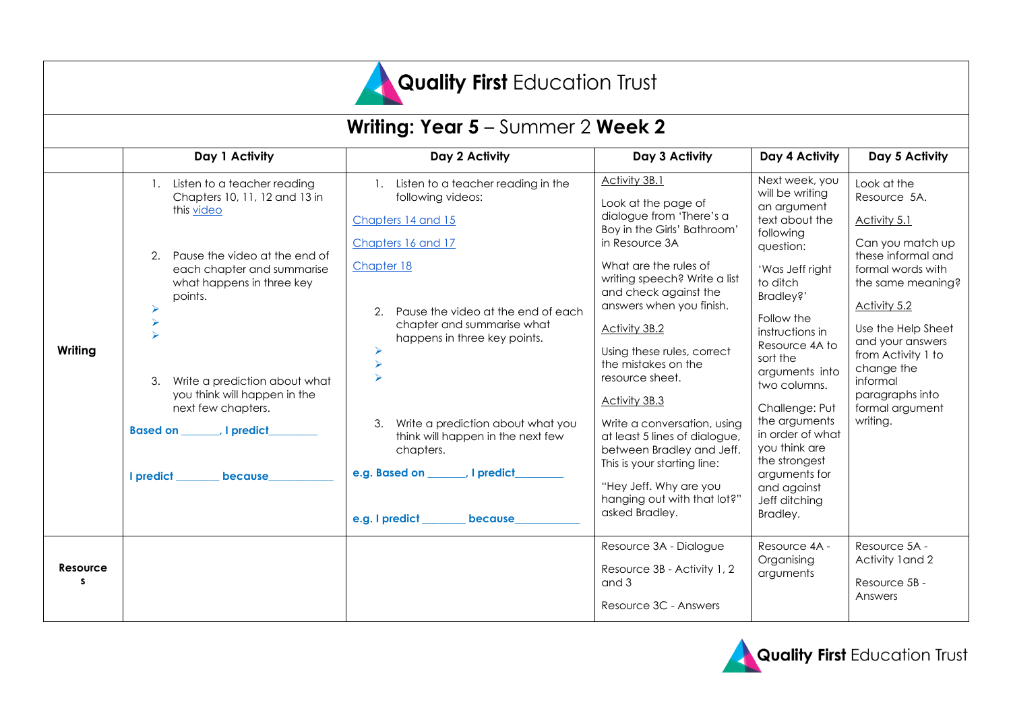

| <b>Writing: Year 5</b> – Summer 2 <b>Week 2</b> |                                                                                                                                                                                                                                                                                                                                            |                                                                                                                                                                                                                                                                                                                                                                                              |                                                                                                                                                                                                                                                                                                                                                                                                                                                                                                                                                         |                                                                                                                                                                                                                                                                                                                                                                                                 |                                                                                                                                                                                                                                                                                             |  |
|-------------------------------------------------|--------------------------------------------------------------------------------------------------------------------------------------------------------------------------------------------------------------------------------------------------------------------------------------------------------------------------------------------|----------------------------------------------------------------------------------------------------------------------------------------------------------------------------------------------------------------------------------------------------------------------------------------------------------------------------------------------------------------------------------------------|---------------------------------------------------------------------------------------------------------------------------------------------------------------------------------------------------------------------------------------------------------------------------------------------------------------------------------------------------------------------------------------------------------------------------------------------------------------------------------------------------------------------------------------------------------|-------------------------------------------------------------------------------------------------------------------------------------------------------------------------------------------------------------------------------------------------------------------------------------------------------------------------------------------------------------------------------------------------|---------------------------------------------------------------------------------------------------------------------------------------------------------------------------------------------------------------------------------------------------------------------------------------------|--|
|                                                 | Day 1 Activity                                                                                                                                                                                                                                                                                                                             | Day 2 Activity                                                                                                                                                                                                                                                                                                                                                                               | Day 3 Activity                                                                                                                                                                                                                                                                                                                                                                                                                                                                                                                                          | Day 4 Activity                                                                                                                                                                                                                                                                                                                                                                                  | Day 5 Activity                                                                                                                                                                                                                                                                              |  |
| Writing                                         | Listen to a teacher reading<br>Chapters 10, 11, 12 and 13 in<br>this video<br>Pause the video at the end of<br>each chapter and summarise<br>what happens in three key<br>points.<br>⋗<br>Write a prediction about what<br>3.<br>you think will happen in the<br>next few chapters.<br><b>Based on All predict</b><br>I predict<br>because | 1. Listen to a teacher reading in the<br>following videos:<br>Chapters 14 and 15<br>Chapters 16 and 17<br>Chapter 18<br>Pause the video at the end of each<br>chapter and summarise what<br>happens in three key points.<br>➤<br>Write a prediction about what you<br>3.<br>think will happen in the next few<br>chapters.<br>e.g. Based on _______, I predict_<br>e.g. I predict<br>because | Activity 3B.1<br>Look at the page of<br>dialogue from 'There's a<br>Boy in the Girls' Bathroom'<br>in Resource 3A<br>What are the rules of<br>writing speech? Write a list<br>and check against the<br>answers when you finish.<br><b>Activity 3B.2</b><br>Using these rules, correct<br>the mistakes on the<br>resource sheet.<br>Activity 3B.3<br>Write a conversation, using<br>at least 5 lines of dialogue,<br>between Bradley and Jeff.<br>This is your starting line:<br>"Hey Jeff. Why are you<br>hanging out with that lot?"<br>asked Bradley. | Next week, you<br>will be writing<br>an argument<br>text about the<br>following<br>question:<br>'Was Jeff right<br>to ditch<br>Bradley?'<br>Follow the<br>instructions in<br>Resource 4A to<br>sort the<br>arguments into<br>two columns.<br>Challenge: Put<br>the arguments<br>in order of what<br>you think are<br>the strongest<br>arguments for<br>and against<br>Jeff ditching<br>Bradley. | Look at the<br>Resource 5A.<br>Activity 5.1<br>Can you match up<br>these informal and<br>formal words with<br>the same meaning?<br>Activity 5.2<br>Use the Help Sheet<br>and your answers<br>from Activity 1 to<br>change the<br>informal<br>paragraphs into<br>formal argument<br>writing. |  |
| Resource<br>s                                   |                                                                                                                                                                                                                                                                                                                                            |                                                                                                                                                                                                                                                                                                                                                                                              | Resource 3A - Dialogue<br>Resource 3B - Activity 1, 2<br>and 3<br>Resource 3C - Answers                                                                                                                                                                                                                                                                                                                                                                                                                                                                 | Resource 4A -<br>Organising<br>arguments                                                                                                                                                                                                                                                                                                                                                        | Resource 5A -<br>Activity 1 and 2<br>Resource 5B -<br>Answers                                                                                                                                                                                                                               |  |

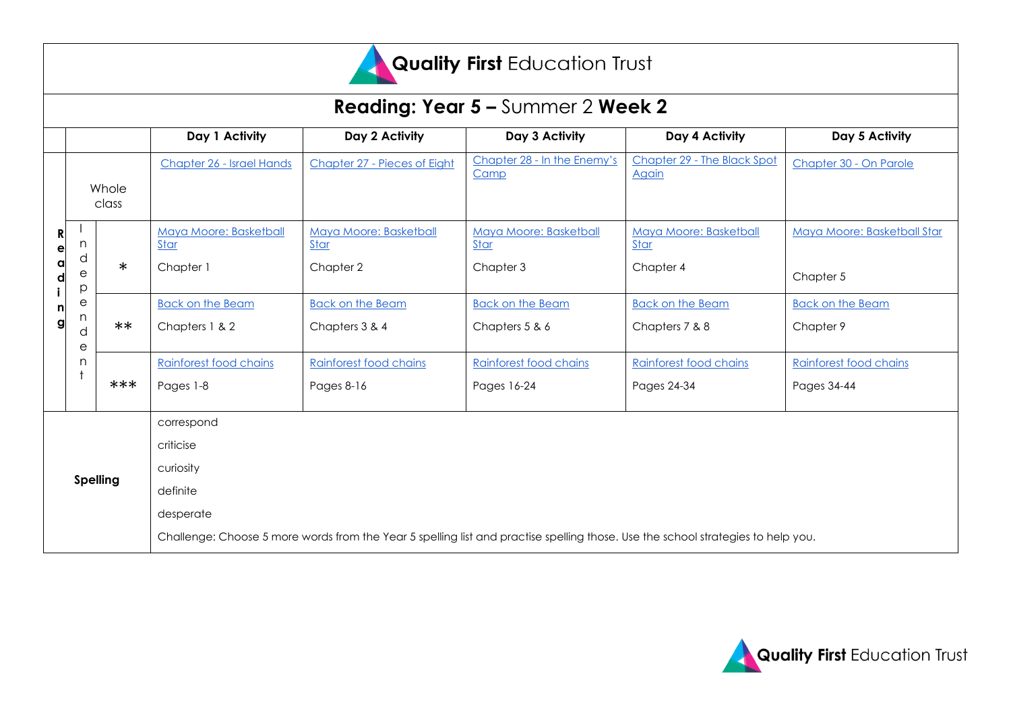

| <b>Reading: Year 5 - Summer 2 Week 2</b> |                   |                |                                                                                                                                  |                                                    |                                             |                                                    |                                          |
|------------------------------------------|-------------------|----------------|----------------------------------------------------------------------------------------------------------------------------------|----------------------------------------------------|---------------------------------------------|----------------------------------------------------|------------------------------------------|
|                                          |                   |                | Day 1 Activity                                                                                                                   | Day 2 Activity                                     | Day 3 Activity                              | Day 4 Activity                                     | Day 5 Activity                           |
|                                          |                   | Whole<br>class | Chapter 26 - Israel Hands                                                                                                        | Chapter 27 - Pieces of Eight                       | Chapter 28 - In the Enemy's<br>Camp         | Chapter 29 - The Black Spot<br>Again               | Chapter 30 - On Parole                   |
| R<br>е<br>a<br>d<br>g                    | n<br>d<br>е<br>р  | $\ast$         | Maya Moore: Basketball<br>Star<br>Chapter 1                                                                                      | Maya Moore: Basketball<br><b>Star</b><br>Chapter 2 | Maya Moore: Basketball<br>Star<br>Chapter 3 | Maya Moore: Basketball<br><b>Star</b><br>Chapter 4 | Maya Moore: Basketball Star<br>Chapter 5 |
|                                          | е<br>n.<br>d<br>е | $***$          | <b>Back on the Beam</b><br>Chapters 1 & 2                                                                                        | <b>Back on the Beam</b><br>Chapters 3 & 4          | <b>Back on the Beam</b><br>Chapters 5 & 6   | <b>Back on the Beam</b><br>Chapters 7 & 8          | <b>Back on the Beam</b><br>Chapter 9     |
|                                          | n                 | ***            | Rainforest food chains<br>Pages 1-8                                                                                              | Rainforest food chains<br>Pages 8-16               | Rainforest food chains<br>Pages 16-24       | Rainforest food chains<br>Pages 24-34              | Rainforest food chains<br>Pages 34-44    |
| <b>Spelling</b>                          |                   |                | correspond<br>criticise<br>curiosity<br>definite<br>desperate                                                                    |                                                    |                                             |                                                    |                                          |
|                                          |                   |                | Challenge: Choose 5 more words from the Year 5 spelling list and practise spelling those. Use the school strategies to help you. |                                                    |                                             |                                                    |                                          |

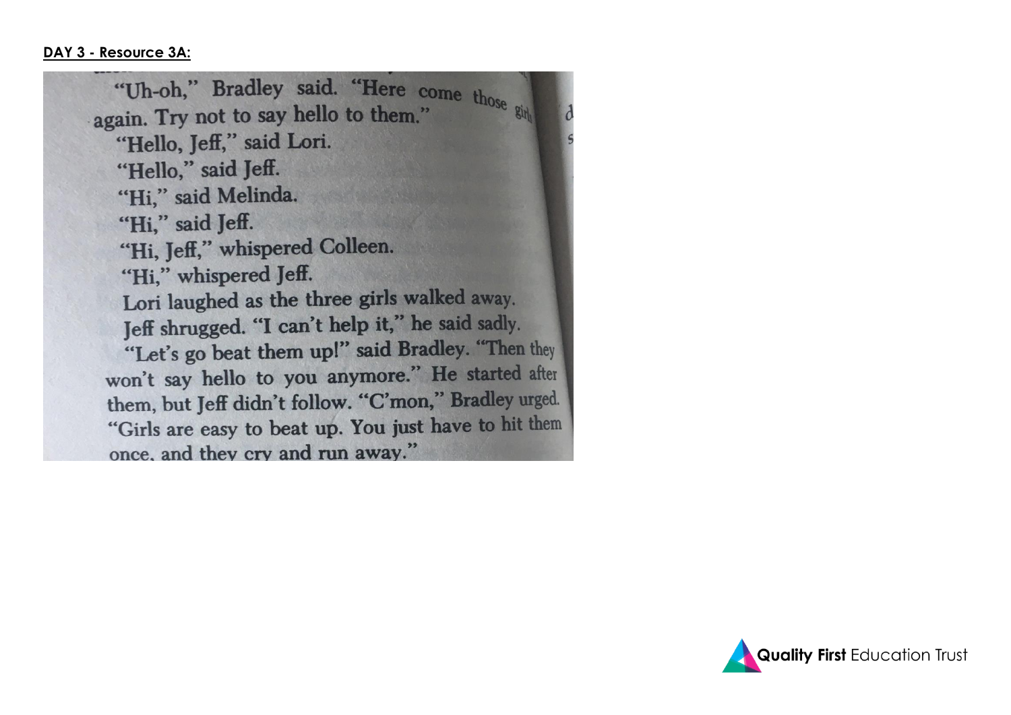"Uh-oh," Bradley said. "Here come those ging again. Try not to say hello to them." "Hello, Jeff," said Lori. "Hello," said Jeff. "Hi," said Melinda. "Hi," said Jeff. "Hi, Jeff," whispered Colleen. "Hi," whispered Jeff. Lori laughed as the three girls walked away. Jeff shrugged. "I can't help it," he said sadly. "Let's go beat them up!" said Bradley. "Then they won't say hello to you anymore." He started after them, but Jeff didn't follow. "C'mon," Bradley urged. "Girls are easy to beat up. You just have to hit them once, and they cry and run away."

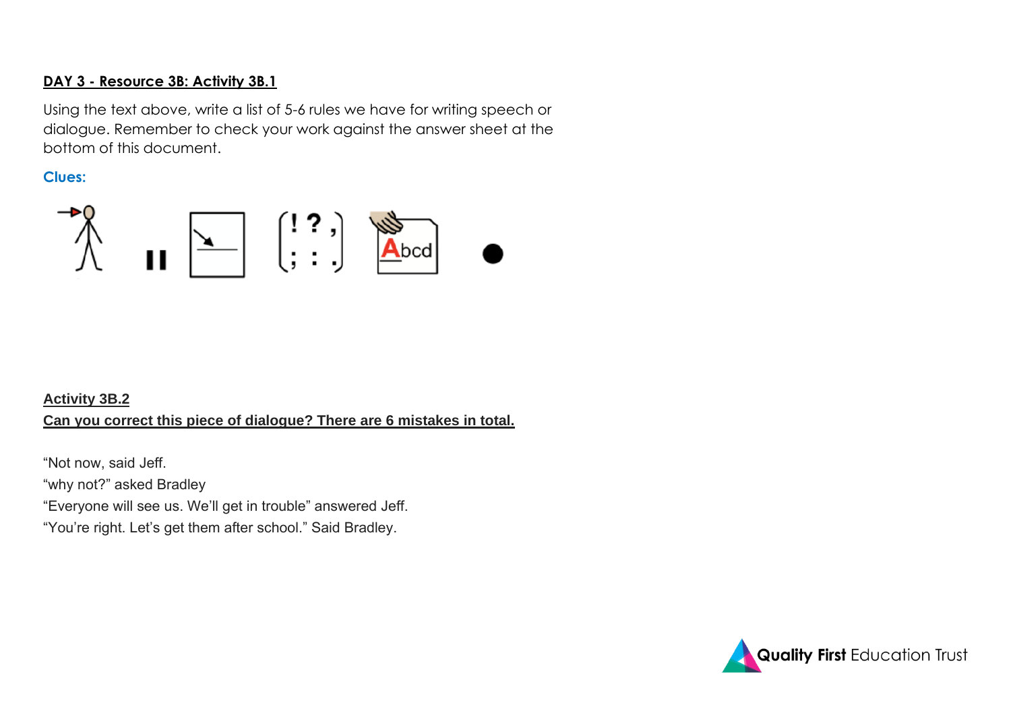### **DAY 3 - Resource 3B: Activity 3B.1**

Using the text above, write a list of 5-6 rules we have for writing speech or dialogue. Remember to check your work against the answer sheet at the bottom of this document.

### **Clues:**



# **Activity 3B.2 Can you correct this piece of dialogue? There are 6 mistakes in total.**

"Not now, said Jeff. "why not?" asked Bradley "Everyone will see us. We'll get in trouble" answered Jeff.

"You're right. Let's get them after school." Said Bradley.

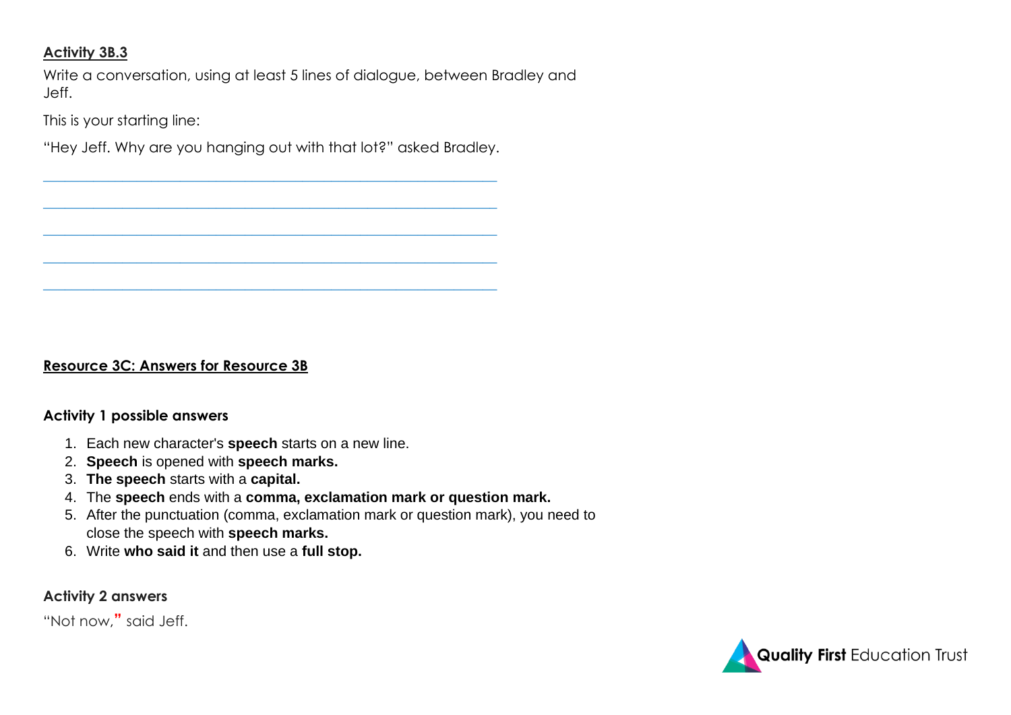### **Activity 3B.3**

Write a conversation, using at least 5 lines of dialogue, between Bradley and Jeff.

This is your starting line:

"Hey Jeff. Why are you hanging out with that lot?" asked Bradley.

**\_\_\_\_\_\_\_\_\_\_\_\_\_\_\_\_\_\_\_\_\_\_\_\_\_\_\_\_\_\_\_\_\_\_\_\_\_\_\_\_\_\_\_\_\_\_\_\_\_\_\_\_\_\_\_\_\_\_\_\_\_\_\_**

**\_\_\_\_\_\_\_\_\_\_\_\_\_\_\_\_\_\_\_\_\_\_\_\_\_\_\_\_\_\_\_\_\_\_\_\_\_\_\_\_\_\_\_\_\_\_\_\_\_\_\_\_\_\_\_\_\_\_\_\_\_\_\_**

**\_\_\_\_\_\_\_\_\_\_\_\_\_\_\_\_\_\_\_\_\_\_\_\_\_\_\_\_\_\_\_\_\_\_\_\_\_\_\_\_\_\_\_\_\_\_\_\_\_\_\_\_\_\_\_\_\_\_\_\_\_\_\_**

**\_\_\_\_\_\_\_\_\_\_\_\_\_\_\_\_\_\_\_\_\_\_\_\_\_\_\_\_\_\_\_\_\_\_\_\_\_\_\_\_\_\_\_\_\_\_\_\_\_\_\_\_\_\_\_\_\_\_\_\_\_\_\_**

**\_\_\_\_\_\_\_\_\_\_\_\_\_\_\_\_\_\_\_\_\_\_\_\_\_\_\_\_\_\_\_\_\_\_\_\_\_\_\_\_\_\_\_\_\_\_\_\_\_\_\_\_\_\_\_\_\_\_\_\_\_\_\_**

## **Resource 3C: Answers for Resource 3B**

#### **Activity 1 possible answers**

- 1. Each new character's **speech** starts on a new line.
- 2. **Speech** is opened with **speech marks.**
- 3. **The speech** starts with a **capital.**
- 4. The **speech** ends with a **comma, exclamation mark or question mark.**
- 5. After the punctuation (comma, exclamation mark or question mark), you need to close the speech with **speech marks.**
- 6. Write **who said it** and then use a **full stop.**

### **Activity 2 answers**

"Not now,**"** said Jeff.

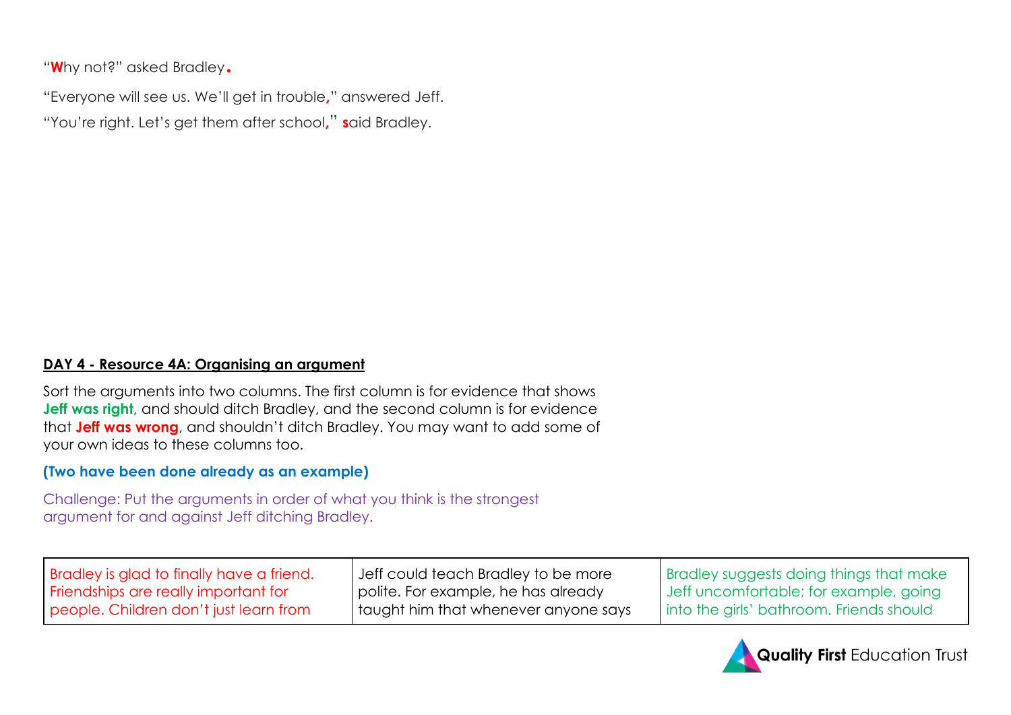"**W**hy not?" asked Bradley.

"Everyone will see us. We'll get in trouble**,**" answered Jeff. "You're right. Let's get them after school**,**" **s**aid Bradley.

### **DAY 4 - Resource 4A: Organising an argument**

Sort the arguments into two columns. The first column is for evidence that shows **Jeff was right**, and should ditch Bradley, and the second column is for evidence that **Jeff was wrong**, and shouldn't ditch Bradley. You may want to add some of your own ideas to these columns too.

## **(Two have been done already as an example)**

Challenge: Put the arguments in order of what you think is the strongest argument for and against Jeff ditching Bradley.

| <b>Bradley is glad to finally have a friend.</b> | Jeff could teach Bradley to be more    | <b>Bradley suggests doing things that make</b> |
|--------------------------------------------------|----------------------------------------|------------------------------------------------|
| Friendships are really important for             | polite. For example, he has already    | Jeff uncomfortable; for example, going         |
| people. Children don't just learn from           | I taught him that whenever anyone says | Into the girls' bathroom. Friends should       |

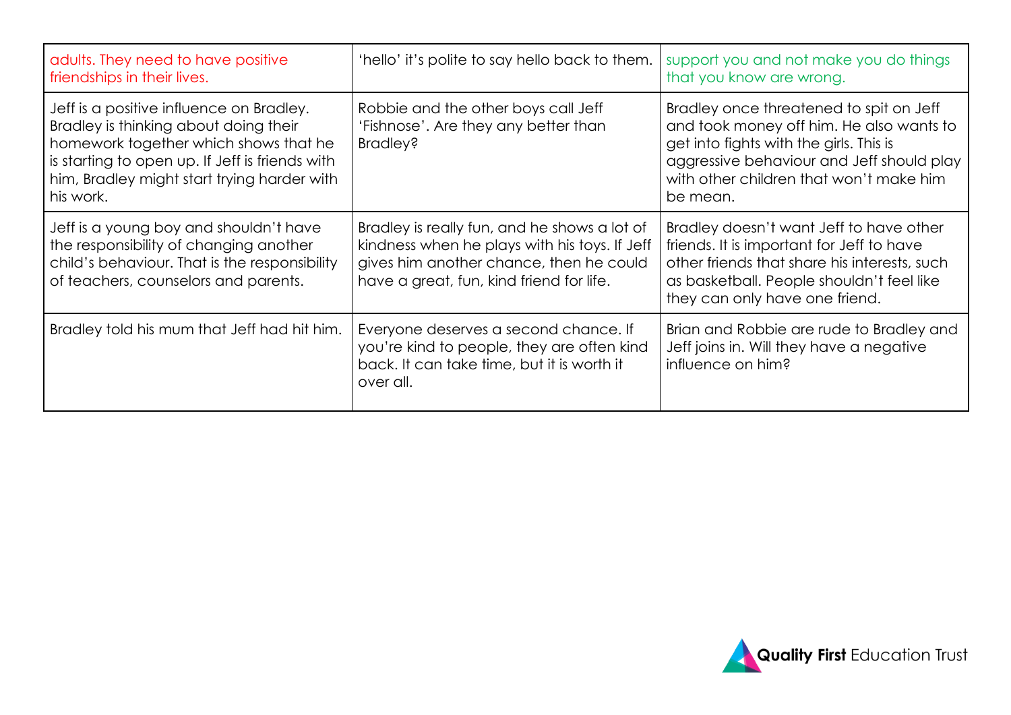| adults. They need to have positive<br>friendships in their lives.                                                                                                                                                                         | 'hello' it's polite to say hello back to them.                                                                                                                                       | support you and not make you do things<br>that you know are wrong.                                                                                                                                                                 |
|-------------------------------------------------------------------------------------------------------------------------------------------------------------------------------------------------------------------------------------------|--------------------------------------------------------------------------------------------------------------------------------------------------------------------------------------|------------------------------------------------------------------------------------------------------------------------------------------------------------------------------------------------------------------------------------|
| Jeff is a positive influence on Bradley.<br>Bradley is thinking about doing their<br>homework together which shows that he<br>is starting to open up. If Jeff is friends with<br>him, Bradley might start trying harder with<br>his work. | Robbie and the other boys call Jeff<br>'Fishnose'. Are they any better than<br><b>Bradley?</b>                                                                                       | Bradley once threatened to spit on Jeff<br>and took money off him. He also wants to<br>get into fights with the girls. This is<br>aggressive behaviour and Jeff should play<br>with other children that won't make him<br>be mean. |
| Jeff is a young boy and shouldn't have<br>the responsibility of changing another<br>child's behaviour. That is the responsibility<br>of teachers, counselors and parents.                                                                 | Bradley is really fun, and he shows a lot of<br>kindness when he plays with his toys. If Jeff<br>gives him another chance, then he could<br>have a great, fun, kind friend for life. | Bradley doesn't want Jeff to have other<br>friends. It is important for Jeff to have<br>other friends that share his interests, such<br>as basketball. People shouldn't feel like<br>they can only have one friend.                |
| Bradley told his mum that Jeff had hit him.                                                                                                                                                                                               | Everyone deserves a second chance. If<br>you're kind to people, they are often kind<br>back. It can take time, but it is worth it<br>over all.                                       | Brian and Robbie are rude to Bradley and<br>Jeff joins in. Will they have a negative<br>influence on him?                                                                                                                          |

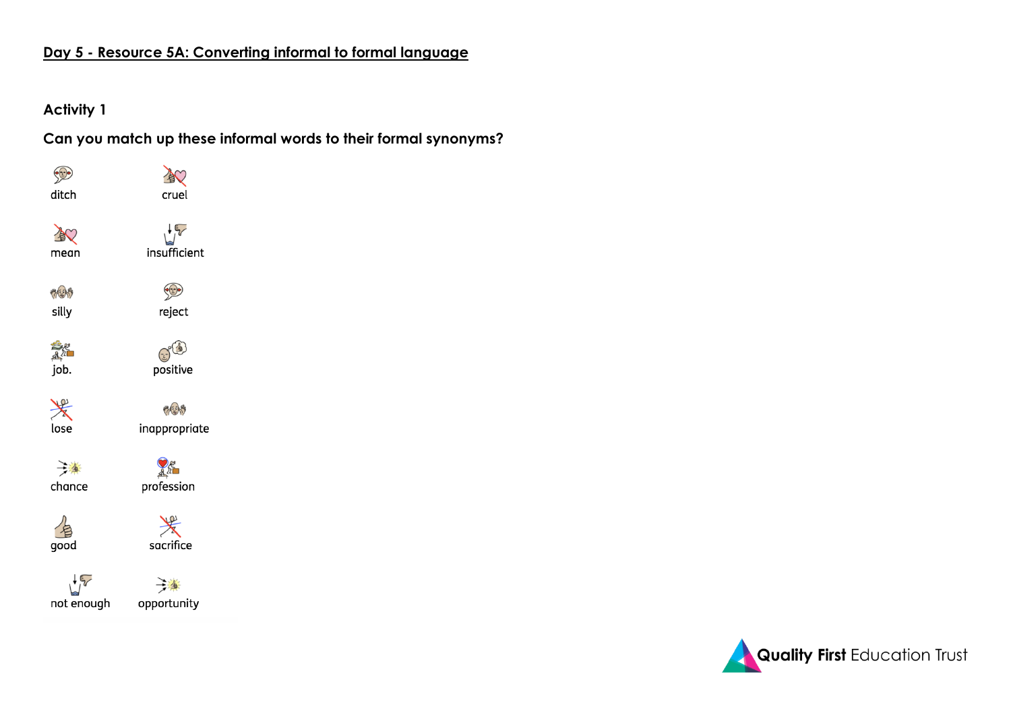# **Day 5 - Resource 5A: Converting informal to formal language**

### **Activity 1**

**Can you match up these informal words to their formal synonyms?**



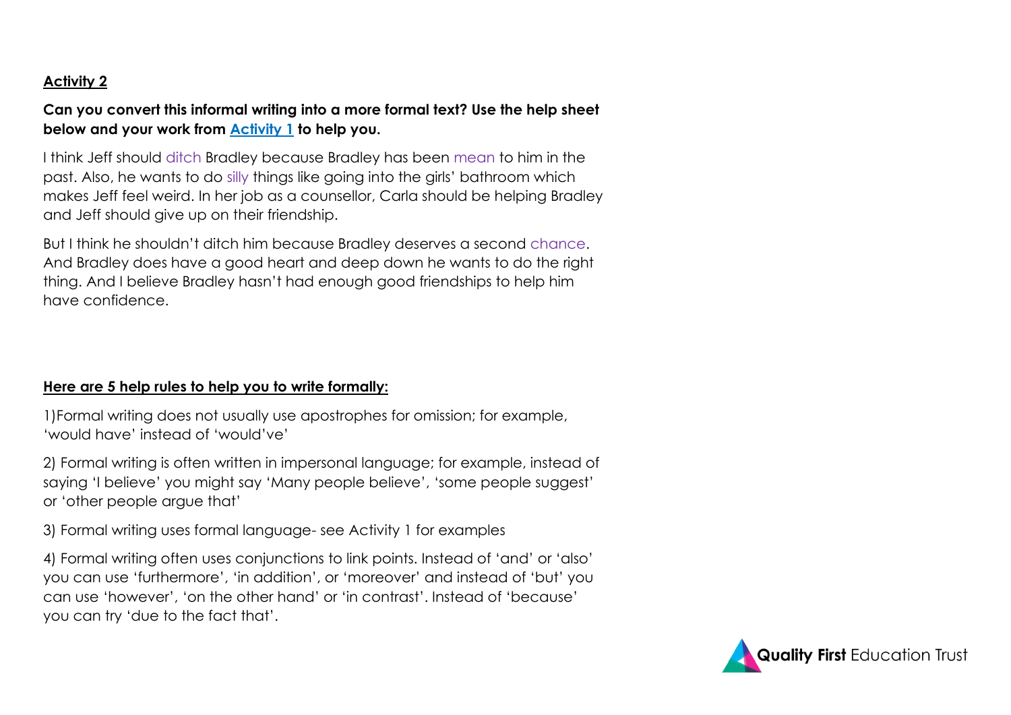## **Activity 2**

## **Can you convert this informal writing into a more formal text? Use the help sheet below and your work from Activity 1 to help you.**

I think Jeff should ditch Bradley because Bradley has been mean to him in the past. Also, he wants to do silly things like going into the girls' bathroom which makes Jeff feel weird. In her job as a counsellor, Carla should be helping Bradley and Jeff should give up on their friendship.

But I think he shouldn't ditch him because Bradley deserves a second chance. And Bradley does have a good heart and deep down he wants to do the right thing. And I believe Bradley hasn't had enough good friendships to help him have confidence.

## **Here are 5 help rules to help you to write formally:**

1)Formal writing does not usually use apostrophes for omission; for example, 'would have' instead of 'would've'

2) Formal writing is often written in impersonal language; for example, instead of saying 'I believe' you might say 'Many people believe', 'some people suggest' or 'other people argue that'

3) Formal writing uses formal language- see Activity 1 for examples

4) Formal writing often uses conjunctions to link points. Instead of 'and' or 'also' you can use 'furthermore', 'in addition', or 'moreover' and instead of 'but' you can use 'however', 'on the other hand' or 'in contrast'. Instead of 'because' you can try 'due to the fact that'.